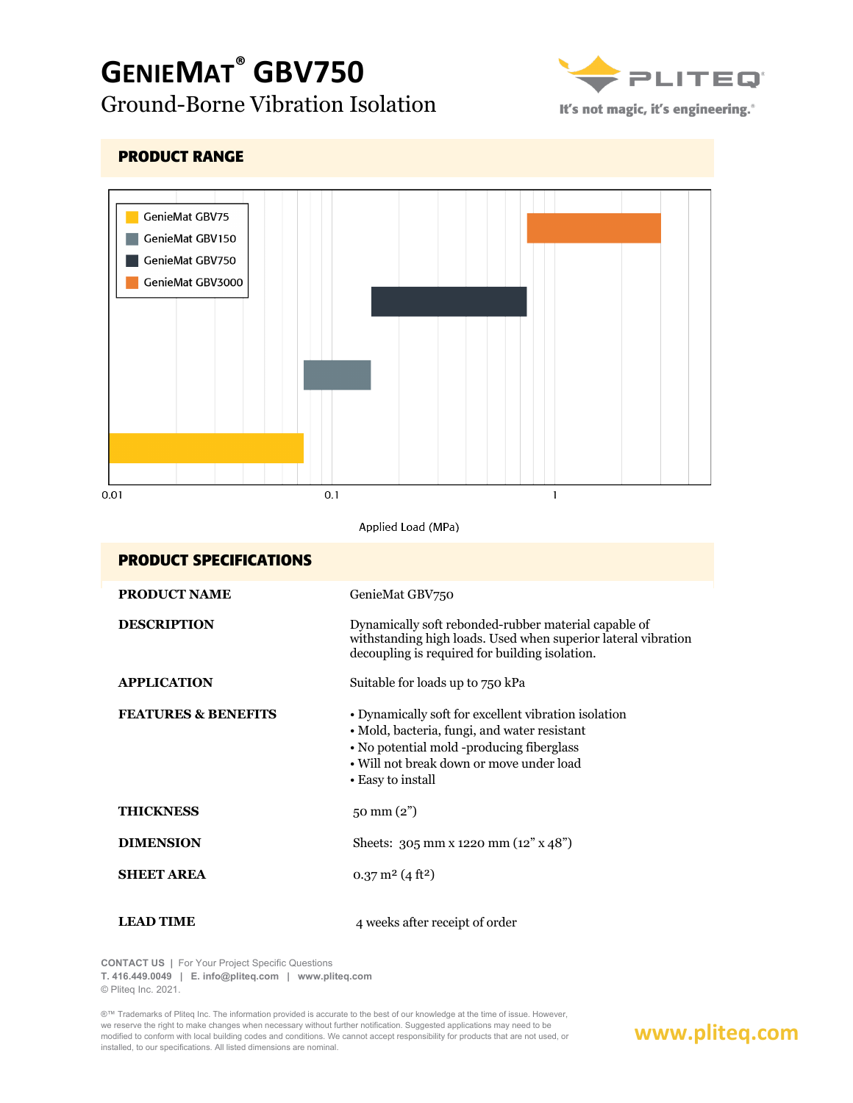# **GENIEMAT® GBV750** Ground-Borne Vibration Isolation



It's not magic, it's engineering.<sup>®</sup>

| <b>PRODUCT RANGE</b>                                                     |                                                                                                                                                                                                                    |  |
|--------------------------------------------------------------------------|--------------------------------------------------------------------------------------------------------------------------------------------------------------------------------------------------------------------|--|
| GenieMat GBV75<br>GenieMat GBV150<br>GenieMat GBV750<br>GenieMat GBV3000 |                                                                                                                                                                                                                    |  |
| 0.01<br>0.1                                                              | 1                                                                                                                                                                                                                  |  |
| Applied Load (MPa)                                                       |                                                                                                                                                                                                                    |  |
| <b>PRODUCT SPECIFICATIONS</b>                                            |                                                                                                                                                                                                                    |  |
| <b>PRODUCT NAME</b>                                                      | GenieMat GBV750                                                                                                                                                                                                    |  |
| <b>DESCRIPTION</b>                                                       | Dynamically soft rebonded-rubber material capable of<br>withstanding high loads. Used when superior lateral vibration<br>decoupling is required for building isolation.                                            |  |
| <b>APPLICATION</b>                                                       | Suitable for loads up to 750 kPa                                                                                                                                                                                   |  |
| <b>FEATURES &amp; BENEFITS</b>                                           | • Dynamically soft for excellent vibration isolation<br>· Mold, bacteria, fungi, and water resistant<br>• No potential mold -producing fiberglass<br>• Will not break down or move under load<br>• Easy to install |  |
| <b>THICKNESS</b>                                                         | 50 mm (2")                                                                                                                                                                                                         |  |
| <b>DIMENSION</b>                                                         | Sheets: 305 mm x 1220 mm (12" x 48")                                                                                                                                                                               |  |
| <b>SHEET AREA</b>                                                        | $0.37 \text{ m}^2 (4 \text{ ft}^2)$                                                                                                                                                                                |  |
| <b>LEAD TIME</b>                                                         | 4 weeks after receipt of order                                                                                                                                                                                     |  |

**CONTACT US |** For Your Project Specific Questions

**T. 416.449.0049 | E. info@pliteq.com | www.pliteq.com**

© Pliteq Inc. 2021.

®™ Trademarks of Pliteq Inc. The information provided is accurate to the best of our knowledge at the time of issue. However, we reserve the right to make changes when necessary without further notification. Suggested applications may need to be modified to conform with local building codes and conditions. We cannot accept responsibility for products that are not used, or installed, to our specifications. All listed dimensions are nominal.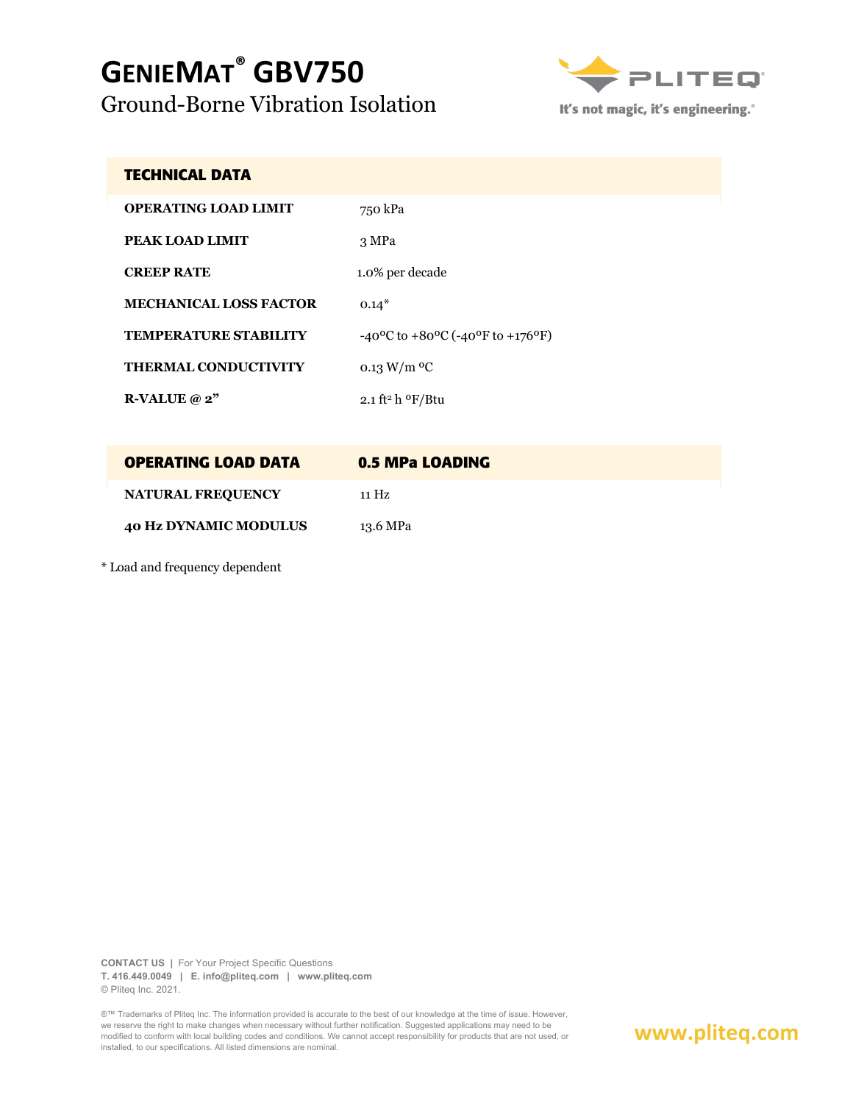# **GENIEMAT® GBV750** Ground-Borne Vibration Isolation



It's not magic, it's engineering.<sup>®</sup>

#### **TECHNICAL DATA**

| <b>OPERATING LOAD LIMIT</b>   | 750 kPa                                                                   |
|-------------------------------|---------------------------------------------------------------------------|
| PEAK LOAD LIMIT               | 3 MPa                                                                     |
| <b>CREEP RATE</b>             | 1.0% per decade                                                           |
| <b>MECHANICAL LOSS FACTOR</b> | $0.14*$                                                                   |
| <b>TEMPERATURE STABILITY</b>  | $-40^{\circ}$ C to $+80^{\circ}$ C ( $-40^{\circ}$ F to $+176^{\circ}$ F) |
| <b>THERMAL CONDUCTIVITY</b>   | 0.13 W/m $^{\rm o}$ C                                                     |
| R-VALUE $@2"$                 | 2.1 ft <sup>2</sup> h <sup>o</sup> F/Btu                                  |

| <b>OPERATING LOAD DATA</b>   | 0.5 MPa LOADING |
|------------------------------|-----------------|
| <b>NATURAL FREQUENCY</b>     | 11 Hz           |
| <b>40 Hz DYNAMIC MODULUS</b> | 13.6 MPa        |

\* Load and frequency dependent

**CONTACT US |** For Your Project Specific Questions **T. 416.449.0049 | E. info@pliteq.com | www.pliteq.com** © Pliteq Inc. 2021.

®™ Trademarks of Pliteq Inc. The information provided is accurate to the best of our knowledge at the time of issue. However, we reserve the right to make changes when necessary without further notification. Suggested applications may need to be modified to conform with local building codes and conditions. We cannot accept responsibility for products that are not used, or installed, to our specifications. All listed dimensions are nominal.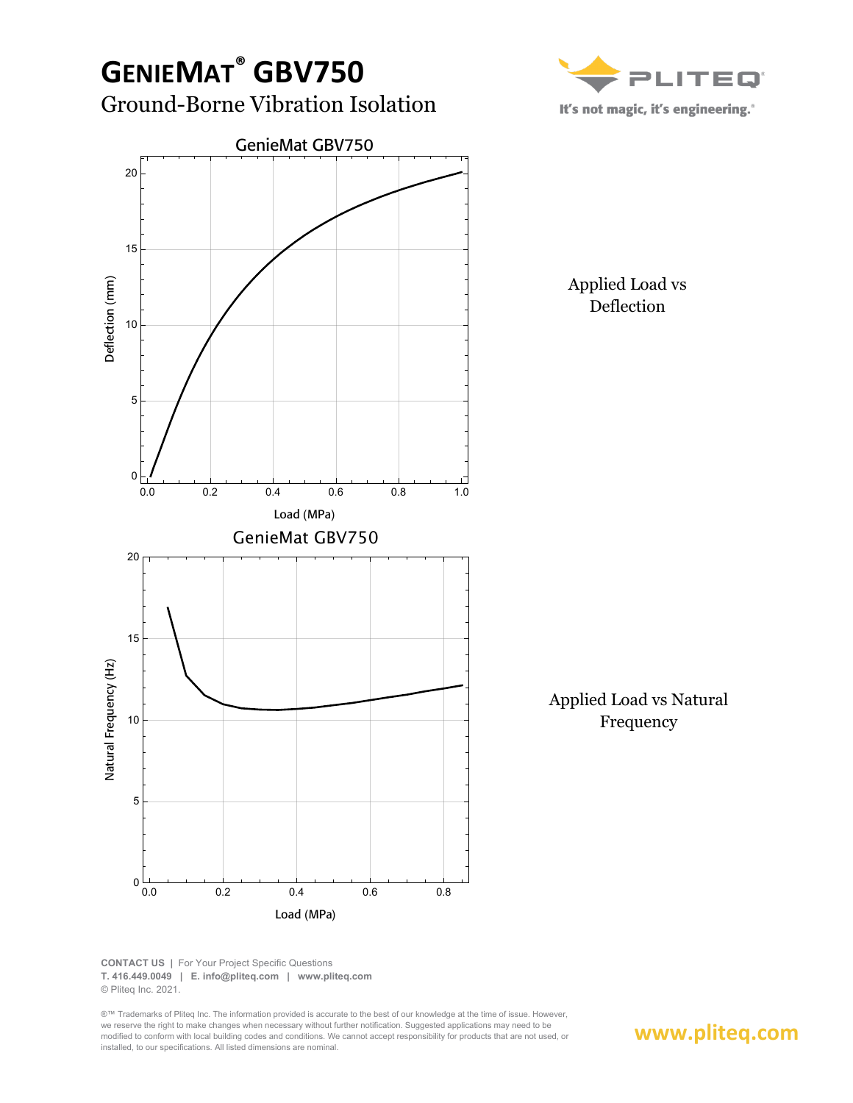

**CONTACT US |** For Your Project Specific Questions **T. 416.449.0049 | E. info@pliteq.com | www.pliteq.com** © Pliteq Inc. 2021.

®™ Trademarks of Pliteq Inc. The information provided is accurate to the best of our knowledge at the time of issue. However, we reserve the right to make changes when necessary without further notification. Suggested applications may need to be modified to conform with local building codes and conditions. We cannot accept responsibility for products that are not used, or installed, to our specifications. All listed dimensions are nominal.